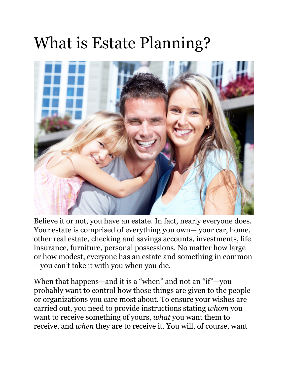# What is Estate Planning?



Believe it or not, you have an estate. In fact, nearly everyone does. Your estate is comprised of everything you own— your car, home, other real estate, checking and savings accounts, investments, life insurance, furniture, personal possessions. No matter how large or how modest, everyone has an estate and something in common —you can't take it with you when you die.

When that happens—and it is a "when" and not an "if"—you probably want to control how those things are given to the people or organizations you care most about. To ensure your wishes are carried out, you need to provide instructions stating *whom* you want to receive something of yours, *what* you want them to receive, and *when* they are to receive it. You will, of course, want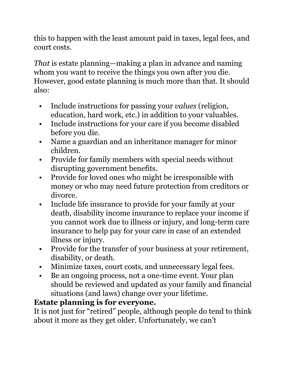this to happen with the least amount paid in taxes, legal fees, and court costs.

*That* is estate planning—making a plan in advance and naming whom you want to receive the things you own after you die. However, good estate planning is much more than that. It should also:

- Include instructions for passing your *values* (religion, education, hard work, etc.) in addition to your valuables.
- Include instructions for your care if you become disabled before you die.
- Name a guardian and an inheritance manager for minor children.
- Provide for family members with special needs without disrupting government benefits.
- Provide for loved ones who might be irresponsible with money or who may need future protection from creditors or divorce.
- Include life insurance to provide for your family at your death, disability income insurance to replace your income if you cannot work due to illness or injury, and long-term care insurance to help pay for your care in case of an extended illness or injury.
- Provide for the transfer of your business at your retirement, disability, or death.
- Minimize taxes, court costs, and unnecessary legal fees.
- Be an ongoing process, not a one-time event. Your plan should be reviewed and updated as your family and financial situations (and laws) change over your lifetime.

## **Estate planning is for everyone.**

It is not just for "retired" people, although people do tend to think about it more as they get older. Unfortunately, we can't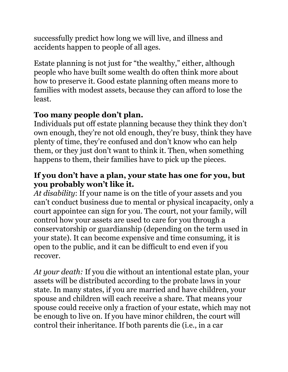successfully predict how long we will live, and illness and accidents happen to people of all ages.

Estate planning is not just for "the wealthy," either, although people who have built some wealth do often think more about how to preserve it. Good estate planning often means more to families with modest assets, because they can afford to lose the least.

## **Too many people don't plan.**

Individuals put off estate planning because they think they don't own enough, they're not old enough, they're busy, think they have plenty of time, they're confused and don't know who can help them, or they just don't want to think it. Then, when something happens to them, their families have to pick up the pieces.

#### **If you don't have a plan, your state has one for you, but you probably won't like it.**

*At disability*: If your name is on the title of your assets and you can't conduct business due to mental or physical incapacity, only a court appointee can sign for you. The court, not your family, will control how your assets are used to care for you through a conservatorship or guardianship (depending on the term used in your state). It can become expensive and time consuming, it is open to the public, and it can be difficult to end even if you recover.

*At your death:* If you die without an intentional estate plan, your assets will be distributed according to the probate laws in your state. In many states, if you are married and have children, your spouse and children will each receive a share. That means your spouse could receive only a fraction of your estate, which may not be enough to live on. If you have minor children, the court will control their inheritance. If both parents die (i.e., in a car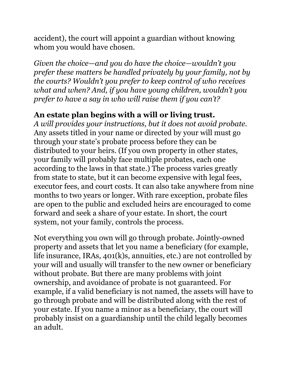accident), the court will appoint a guardian without knowing whom you would have chosen.

*Given the choice—and you do have the choice—wouldn't you prefer these matters be handled privately by your family, not by the courts? Wouldn't you prefer to keep control of who receives what and when? And, if you have young children, wouldn't you prefer to have a say in who will raise them if you can't?*

### **An estate plan begins with a will or living trust.**

*A will provides your instructions, but it does not avoid probate.*  Any assets titled in your name or directed by your will must go through your state's probate process before they can be distributed to your heirs. (If you own property in other states, your family will probably face multiple probates, each one according to the laws in that state.) The process varies greatly from state to state, but it can become expensive with legal fees, executor fees, and court costs. It can also take anywhere from nine months to two years or longer. With rare exception, probate files are open to the public and excluded heirs are encouraged to come forward and seek a share of your estate. In short, the court system, not your family, controls the process.

Not everything you own will go through probate. Jointly-owned property and assets that let you name a beneficiary (for example, life insurance, IRAs, 401(k)s, annuities, etc.) are not controlled by your will and usually will transfer to the new owner or beneficiary without probate. But there are many problems with joint ownership, and avoidance of probate is not guaranteed. For example, if a valid beneficiary is not named, the assets will have to go through probate and will be distributed along with the rest of your estate. If you name a minor as a beneficiary, the court will probably insist on a guardianship until the child legally becomes an adult.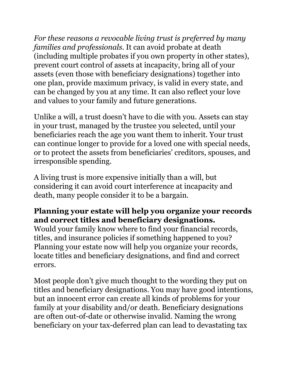*For these reasons a revocable living trust is preferred by many families and professionals.* It can avoid probate at death (including multiple probates if you own property in other states), prevent court control of assets at incapacity, bring all of your assets (even those with beneficiary designations) together into one plan, provide maximum privacy, is valid in every state, and can be changed by you at any time. It can also reflect your love and values to your family and future generations.

Unlike a will, a trust doesn't have to die with you. Assets can stay in your trust, managed by the trustee you selected, until your beneficiaries reach the age you want them to inherit. Your trust can continue longer to provide for a loved one with special needs, or to protect the assets from beneficiaries' creditors, spouses, and irresponsible spending.

A living trust is more expensive initially than a will, but considering it can avoid court interference at incapacity and death, many people consider it to be a bargain.

#### **Planning your estate will help you organize your records and correct titles and beneficiary designations.**

Would your family know where to find your financial records, titles, and insurance policies if something happened to you? Planning your estate now will help you organize your records, locate titles and beneficiary designations, and find and correct errors.

Most people don't give much thought to the wording they put on titles and beneficiary designations. You may have good intentions, but an innocent error can create all kinds of problems for your family at your disability and/or death. Beneficiary designations are often out-of-date or otherwise invalid. Naming the wrong beneficiary on your tax-deferred plan can lead to devastating tax